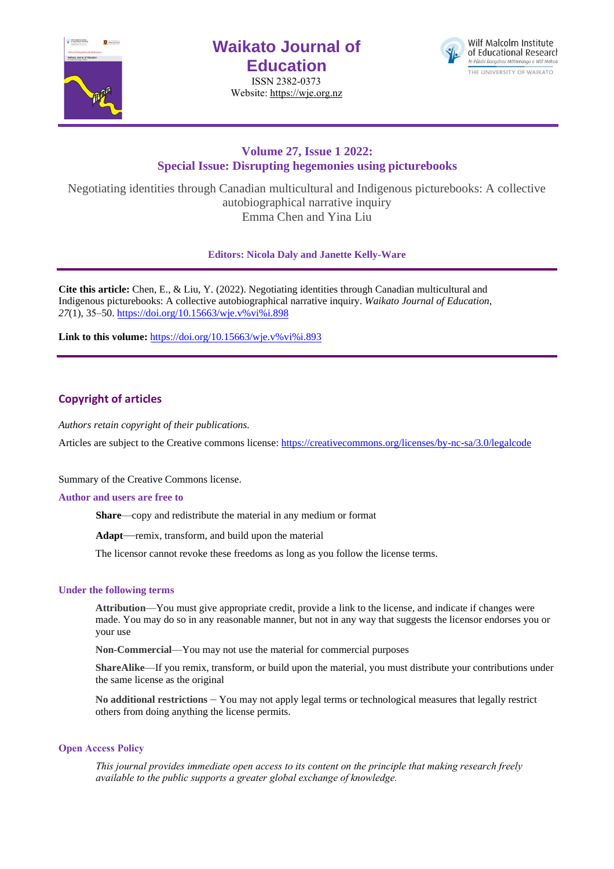

# **Waikato Journal of Education**

ISSN 2382-0373 Website[: https://wje.org.nz](https://wje.org.nz/)



# **Volume 27, Issue 1 2022: Special Issue: Disrupting hegemonies using picturebooks**

Negotiating identities through Canadian multicultural and Indigenous picturebooks: A collective autobiographical narrative inquiry Emma Chen and Yina Liu

**Editors: Nicola Daly and Janette Kelly-Ware**

**Cite this article:** Chen, E., & Liu, Y. (2022). Negotiating identities through Canadian multicultural and Indigenous picturebooks: A collective autobiographical narrative inquiry. *Waikato Journal of Education, 27*(1), 35[–50. https://doi.org/10.15663/wje](https://doi.org/10.15663/wje.v%25vi%25i.898).v%vi%i.898

Link to this volume: [https://doi.org/10.15663/wje.v%vi%i.893](https://doi.org/10.15663/wje.v%25vi%25i.893)

# **Copyright of articles**

*Authors retain copyright of their publications.*

Articles are subject to the Creative commons license: https://creativecommons.org/licenses/by-nc-sa/3.0/legalcode

Summary of the Creative Commons license.

#### **Author and users are free to**

**Share**—copy and redistribute the material in any medium or format

**Adapt**—remix, transform, and build upon the material

The licensor cannot revoke these freedoms as long as you follow the license terms.

### **Under the following terms**

**Attribution**—You must give appropriate credit, provide a link to the license, and indicate if changes were made. You may do so in any reasonable manner, but not in any way that suggests the licensor endorses you or your use

**Non-Commercial**—You may not use the material for commercial purposes

**ShareAlike**—If you remix, transform, or build upon the material, you must distribute your contributions under the same license as the original

**No additional restrictions** – You may not apply legal terms or technological measures that legally restrict others from doing anything the license permits.

#### **Open Access Policy**

*This journal provides immediate open access to its content on the principle that making research freely available to the public supports a greater global exchange of knowledge.*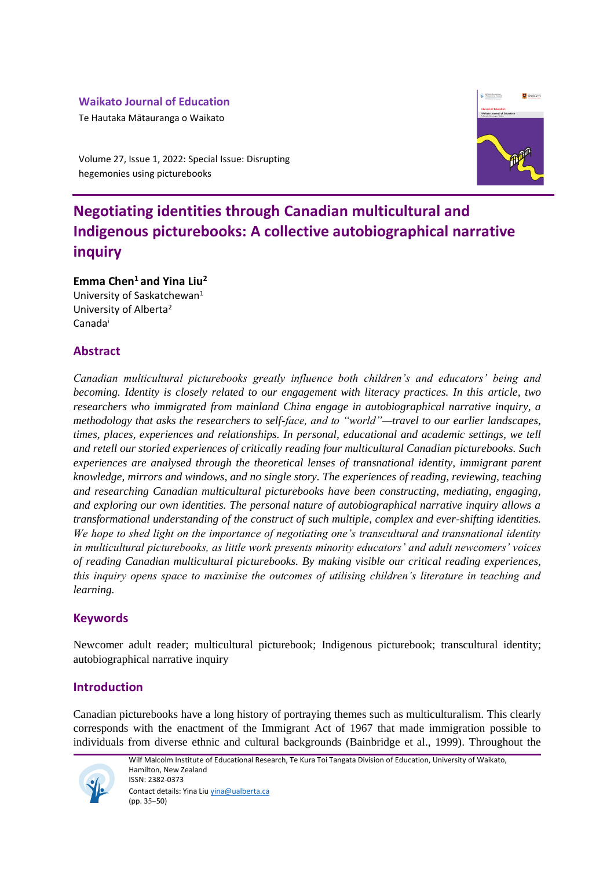# **Waikato Journal of Education**

Te Hautaka Mātauranga o Waikato



Volume 27, Issue 1, 2022: Special Issue: Disrupting hegemonies using picturebooks

# **Negotiating identities through Canadian multicultural and Indigenous picturebooks: A collective autobiographical narrative inquiry**

**Emma Chen<sup>1</sup>and Yina Liu<sup>2</sup>**

University of Saskatchewan<sup>1</sup> University of Alberta<sup>2</sup> Canada<sup>i</sup>

# **Abstract**

*Canadian multicultural picturebooks greatly influence both children's and educators' being and becoming. Identity is closely related to our engagement with literacy practices. In this article, two researchers who immigrated from mainland China engage in autobiographical narrative inquiry, a methodology that asks the researchers to self-face, and to "world"—travel to our earlier landscapes, times, places, experiences and relationships. In personal, educational and academic settings, we tell and retell our storied experiences of critically reading four multicultural Canadian picturebooks. Such experiences are analysed through the theoretical lenses of transnational identity, immigrant parent knowledge, mirrors and windows, and no single story. The experiences of reading, reviewing, teaching and researching Canadian multicultural picturebooks have been constructing, mediating, engaging, and exploring our own identities. The personal nature of autobiographical narrative inquiry allows a transformational understanding of the construct of such multiple, complex and ever-shifting identities. We hope to shed light on the importance of negotiating one's transcultural and transnational identity in multicultural picturebooks, as little work presents minority educators' and adult newcomers' voices of reading Canadian multicultural picturebooks. By making visible our critical reading experiences, this inquiry opens space to maximise the outcomes of utilising children's literature in teaching and learning.*

# **Keywords**

Newcomer adult reader; multicultural picturebook; Indigenous picturebook; transcultural identity; autobiographical narrative inquiry

# **Introduction**

Canadian picturebooks have a long history of portraying themes such as multiculturalism. This clearly corresponds with the enactment of the Immigrant Act of 1967 that made immigration possible to individuals from diverse ethnic and cultural backgrounds (Bainbridge et al., 1999). Throughout the

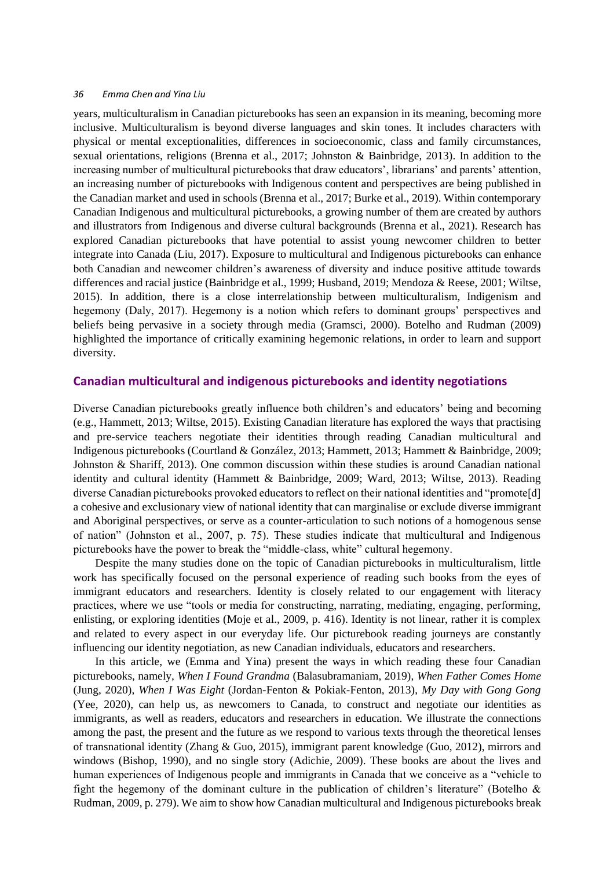years, multiculturalism in Canadian picturebooks has seen an expansion in its meaning, becoming more inclusive. Multiculturalism is beyond diverse languages and skin tones. It includes characters with physical or mental exceptionalities, differences in socioeconomic, class and family circumstances, sexual orientations, religions (Brenna et al., 2017; Johnston & Bainbridge, 2013). In addition to the increasing number of multicultural picturebooks that draw educators', librarians' and parents' attention, an increasing number of picturebooks with Indigenous content and perspectives are being published in the Canadian market and used in schools (Brenna et al., 2017; Burke et al., 2019). Within contemporary Canadian Indigenous and multicultural picturebooks, a growing number of them are created by authors and illustrators from Indigenous and diverse cultural backgrounds (Brenna et al., 2021). Research has explored Canadian picturebooks that have potential to assist young newcomer children to better integrate into Canada (Liu, 2017). Exposure to multicultural and Indigenous picturebooks can enhance both Canadian and newcomer children's awareness of diversity and induce positive attitude towards differences and racial justice (Bainbridge et al., 1999; Husband, 2019; Mendoza & Reese, 2001; Wiltse, 2015). In addition, there is a close interrelationship between multiculturalism, Indigenism and hegemony (Daly, 2017). Hegemony is a notion which refers to dominant groups' perspectives and beliefs being pervasive in a society through media (Gramsci, 2000). Botelho and Rudman (2009) highlighted the importance of critically examining hegemonic relations, in order to learn and support diversity.

### **Canadian multicultural and indigenous picturebooks and identity negotiations**

Diverse Canadian picturebooks greatly influence both children's and educators' being and becoming (e.g., Hammett, 2013; Wiltse, 2015). Existing Canadian literature has explored the ways that practising and pre-service teachers negotiate their identities through reading Canadian multicultural and Indigenous picturebooks (Courtland & González, 2013; Hammett, 2013; Hammett & Bainbridge, 2009; Johnston & Shariff, 2013). One common discussion within these studies is around Canadian national identity and cultural identity (Hammett & Bainbridge, 2009; Ward, 2013; Wiltse, 2013). Reading diverse Canadian picturebooks provoked educators to reflect on their national identities and "promote[d] a cohesive and exclusionary view of national identity that can marginalise or exclude diverse immigrant and Aboriginal perspectives, or serve as a counter-articulation to such notions of a homogenous sense of nation" (Johnston et al., 2007, p. 75). These studies indicate that multicultural and Indigenous picturebooks have the power to break the "middle-class, white" cultural hegemony.

Despite the many studies done on the topic of Canadian picturebooks in multiculturalism, little work has specifically focused on the personal experience of reading such books from the eyes of immigrant educators and researchers. Identity is closely related to our engagement with literacy practices, where we use "tools or media for constructing, narrating, mediating, engaging, performing, enlisting, or exploring identities (Moje et al., 2009, p. 416). Identity is not linear, rather it is complex and related to every aspect in our everyday life. Our picturebook reading journeys are constantly influencing our identity negotiation, as new Canadian individuals, educators and researchers.

In this article, we (Emma and Yina) present the ways in which reading these four Canadian picturebooks, namely, *When I Found Grandma* (Balasubramaniam, 2019), *When Father Comes Home*  (Jung, 2020), *When I Was Eight* (Jordan-Fenton & Pokiak-Fenton, 2013), *My Day with Gong Gong* (Yee, 2020), can help us, as newcomers to Canada, to construct and negotiate our identities as immigrants, as well as readers, educators and researchers in education. We illustrate the connections among the past, the present and the future as we respond to various texts through the theoretical lenses of transnational identity (Zhang & Guo, 2015), immigrant parent knowledge (Guo, 2012), mirrors and windows (Bishop, 1990), and no single story (Adichie, 2009). These books are about the lives and human experiences of Indigenous people and immigrants in Canada that we conceive as a "vehicle to fight the hegemony of the dominant culture in the publication of children's literature" (Botelho & Rudman, 2009, p. 279). We aim to show how Canadian multicultural and Indigenous picturebooks break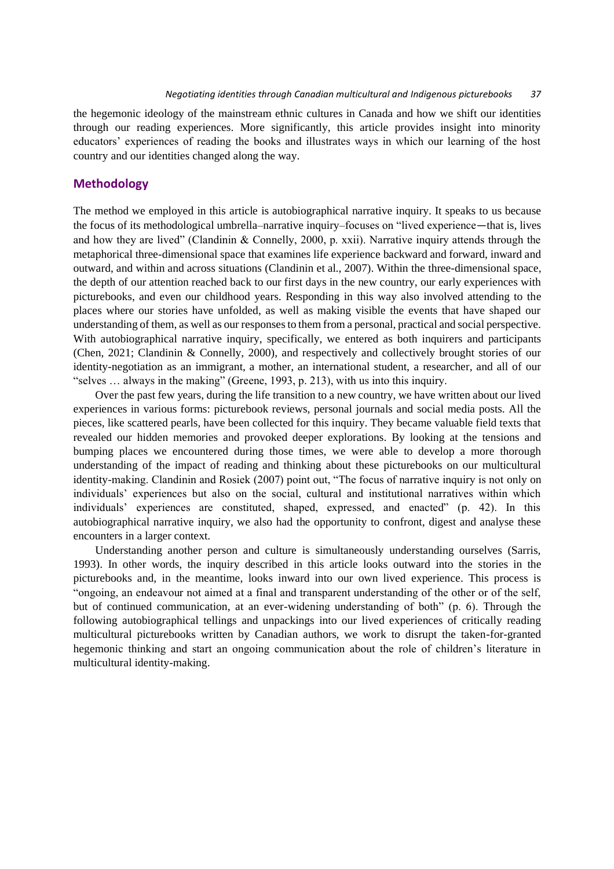the hegemonic ideology of the mainstream ethnic cultures in Canada and how we shift our identities through our reading experiences. More significantly, this article provides insight into minority educators' experiences of reading the books and illustrates ways in which our learning of the host country and our identities changed along the way.

### **Methodology**

The method we employed in this article is autobiographical narrative inquiry. It speaks to us because the focus of its methodological umbrella–narrative inquiry–focuses on "lived experience—that is, lives and how they are lived" (Clandinin & Connelly, 2000, p. xxii). Narrative inquiry attends through the metaphorical three-dimensional space that examines life experience backward and forward, inward and outward, and within and across situations (Clandinin et al., 2007). Within the three-dimensional space, the depth of our attention reached back to our first days in the new country, our early experiences with picturebooks, and even our childhood years. Responding in this way also involved attending to the places where our stories have unfolded, as well as making visible the events that have shaped our understanding of them, as well as our responses to them from a personal, practical and social perspective. With autobiographical narrative inquiry, specifically, we entered as both inquirers and participants (Chen, 2021; Clandinin & Connelly, 2000), and respectively and collectively brought stories of our identity-negotiation as an immigrant, a mother, an international student, a researcher, and all of our "selves … always in the making" (Greene, 1993, p. 213), with us into this inquiry.

Over the past few years, during the life transition to a new country, we have written about our lived experiences in various forms: picturebook reviews, personal journals and social media posts. All the pieces, like scattered pearls, have been collected for this inquiry. They became valuable field texts that revealed our hidden memories and provoked deeper explorations. By looking at the tensions and bumping places we encountered during those times, we were able to develop a more thorough understanding of the impact of reading and thinking about these picturebooks on our multicultural identity-making. Clandinin and Rosiek (2007) point out, "The focus of narrative inquiry is not only on individuals' experiences but also on the social, cultural and institutional narratives within which individuals' experiences are constituted, shaped, expressed, and enacted" (p. 42). In this autobiographical narrative inquiry, we also had the opportunity to confront, digest and analyse these encounters in a larger context.

Understanding another person and culture is simultaneously understanding ourselves (Sarris, 1993). In other words, the inquiry described in this article looks outward into the stories in the picturebooks and, in the meantime, looks inward into our own lived experience. This process is "ongoing, an endeavour not aimed at a final and transparent understanding of the other or of the self, but of continued communication, at an ever-widening understanding of both" (p. 6). Through the following autobiographical tellings and unpackings into our lived experiences of critically reading multicultural picturebooks written by Canadian authors, we work to disrupt the taken-for-granted hegemonic thinking and start an ongoing communication about the role of children's literature in multicultural identity-making.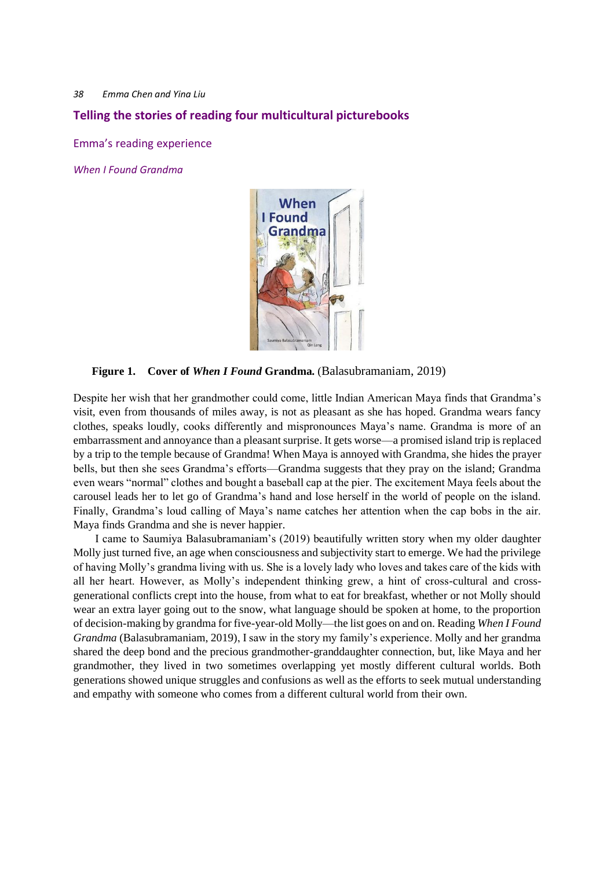## **Telling the stories of reading four multicultural picturebooks**

Emma's reading experience

*When I Found Grandma* 



**Figure 1. Cover of** *When I Found* **Grandma***.* (Balasubramaniam, 2019)

Despite her wish that her grandmother could come, little Indian American Maya finds that Grandma's visit, even from thousands of miles away, is not as pleasant as she has hoped. Grandma wears fancy clothes, speaks loudly, cooks differently and mispronounces Maya's name. Grandma is more of an embarrassment and annoyance than a pleasant surprise. It gets worse—a promised island trip is replaced by a trip to the temple because of Grandma! When Maya is annoyed with Grandma, she hides the prayer bells, but then she sees Grandma's efforts—Grandma suggests that they pray on the island; Grandma even wears "normal" clothes and bought a baseball cap at the pier. The excitement Maya feels about the carousel leads her to let go of Grandma's hand and lose herself in the world of people on the island. Finally, Grandma's loud calling of Maya's name catches her attention when the cap bobs in the air. Maya finds Grandma and she is never happier.

I came to Saumiya Balasubramaniam's (2019) beautifully written story when my older daughter Molly just turned five, an age when consciousness and subjectivity start to emerge. We had the privilege of having Molly's grandma living with us. She is a lovely lady who loves and takes care of the kids with all her heart. However, as Molly's independent thinking grew, a hint of cross-cultural and crossgenerational conflicts crept into the house, from what to eat for breakfast, whether or not Molly should wear an extra layer going out to the snow, what language should be spoken at home, to the proportion of decision-making by grandma for five-year-old Molly—the list goes on and on. Reading *When I Found Grandma* (Balasubramaniam, 2019), I saw in the story my family's experience. Molly and her grandma shared the deep bond and the precious grandmother-granddaughter connection, but, like Maya and her grandmother, they lived in two sometimes overlapping yet mostly different cultural worlds. Both generations showed unique struggles and confusions as well as the efforts to seek mutual understanding and empathy with someone who comes from a different cultural world from their own.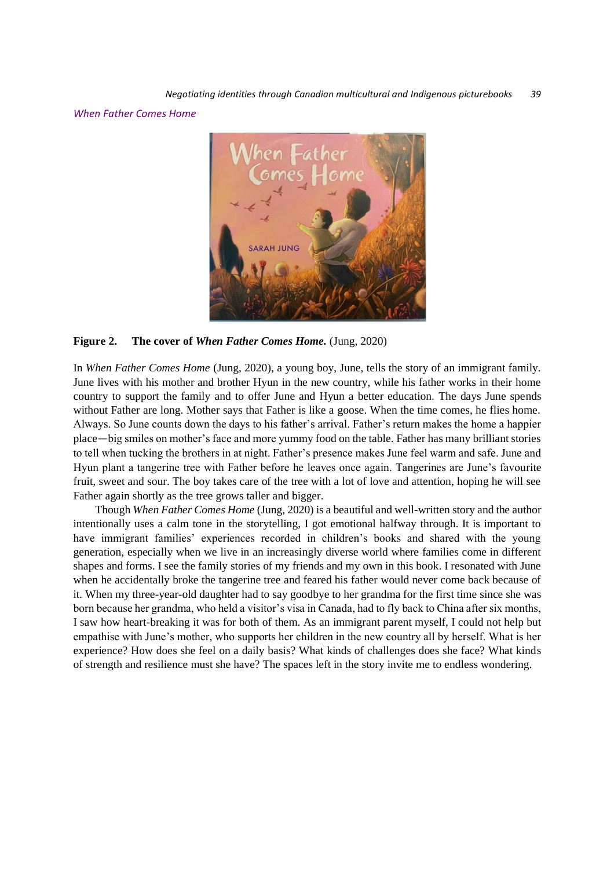*When Father Comes Home* 



**Figure 2. The cover of** *When Father Comes Home.* (Jung, 2020)

In *When Father Comes Home* (Jung, 2020), a young boy, June, tells the story of an immigrant family. June lives with his mother and brother Hyun in the new country, while his father works in their home country to support the family and to offer June and Hyun a better education. The days June spends without Father are long. Mother says that Father is like a goose. When the time comes, he flies home. Always. So June counts down the days to his father's arrival. Father's return makes the home a happier place—big smiles on mother's face and more yummy food on the table. Father has many brilliant stories to tell when tucking the brothers in at night. Father's presence makes June feel warm and safe. June and Hyun plant a tangerine tree with Father before he leaves once again. Tangerines are June's favourite fruit, sweet and sour. The boy takes care of the tree with a lot of love and attention, hoping he will see Father again shortly as the tree grows taller and bigger.

Though *When Father Comes Home* (Jung, 2020) is a beautiful and well-written story and the author intentionally uses a calm tone in the storytelling, I got emotional halfway through. It is important to have immigrant families' experiences recorded in children's books and shared with the young generation, especially when we live in an increasingly diverse world where families come in different shapes and forms. I see the family stories of my friends and my own in this book. I resonated with June when he accidentally broke the tangerine tree and feared his father would never come back because of it. When my three-year-old daughter had to say goodbye to her grandma for the first time since she was born because her grandma, who held a visitor's visa in Canada, had to fly back to China after six months, I saw how heart-breaking it was for both of them. As an immigrant parent myself, I could not help but empathise with June's mother, who supports her children in the new country all by herself. What is her experience? How does she feel on a daily basis? What kinds of challenges does she face? What kinds of strength and resilience must she have? The spaces left in the story invite me to endless wondering.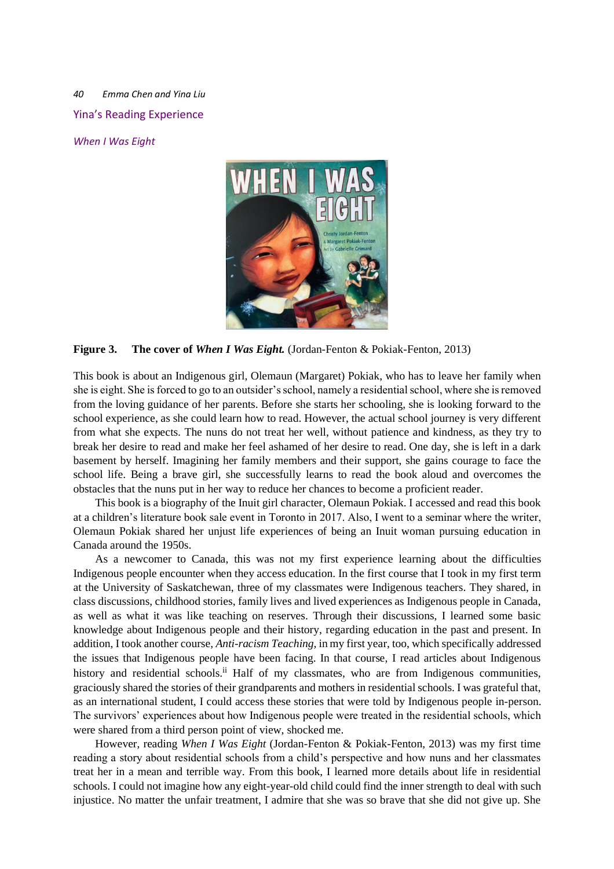*40 Emma Chen and Yina Liu* Yina's Reading Experience

*When I Was Eight* 



**Figure 3. The cover of** *When I Was Eight.* (Jordan-Fenton & Pokiak-Fenton, 2013)

This book is about an Indigenous girl, Olemaun (Margaret) Pokiak, who has to leave her family when she is eight. She is forced to go to an outsider's school, namely a residential school, where she is removed from the loving guidance of her parents. Before she starts her schooling, she is looking forward to the school experience, as she could learn how to read. However, the actual school journey is very different from what she expects. The nuns do not treat her well, without patience and kindness, as they try to break her desire to read and make her feel ashamed of her desire to read. One day, she is left in a dark basement by herself. Imagining her family members and their support, she gains courage to face the school life. Being a brave girl, she successfully learns to read the book aloud and overcomes the obstacles that the nuns put in her way to reduce her chances to become a proficient reader.

This book is a biography of the Inuit girl character, Olemaun Pokiak. I accessed and read this book at a children's literature book sale event in Toronto in 2017. Also, I went to a seminar where the writer, Olemaun Pokiak shared her unjust life experiences of being an Inuit woman pursuing education in Canada around the 1950s.

As a newcomer to Canada, this was not my first experience learning about the difficulties Indigenous people encounter when they access education. In the first course that I took in my first term at the University of Saskatchewan, three of my classmates were Indigenous teachers. They shared, in class discussions, childhood stories, family lives and lived experiences as Indigenous people in Canada, as well as what it was like teaching on reserves. Through their discussions, I learned some basic knowledge about Indigenous people and their history, regarding education in the past and present. In addition, I took another course, *Anti-racism Teaching,* in my first year, too, which specifically addressed the issues that Indigenous people have been facing. In that course, I read articles about Indigenous history and residential schools.<sup>ii</sup> Half of my classmates, who are from Indigenous communities, graciously shared the stories of their grandparents and mothers in residential schools. I was grateful that, as an international student, I could access these stories that were told by Indigenous people in-person. The survivors' experiences about how Indigenous people were treated in the residential schools, which were shared from a third person point of view, shocked me.

However, reading *When I Was Eight* (Jordan-Fenton & Pokiak-Fenton, 2013) was my first time reading a story about residential schools from a child's perspective and how nuns and her classmates treat her in a mean and terrible way. From this book, I learned more details about life in residential schools. I could not imagine how any eight-year-old child could find the inner strength to deal with such injustice. No matter the unfair treatment, I admire that she was so brave that she did not give up. She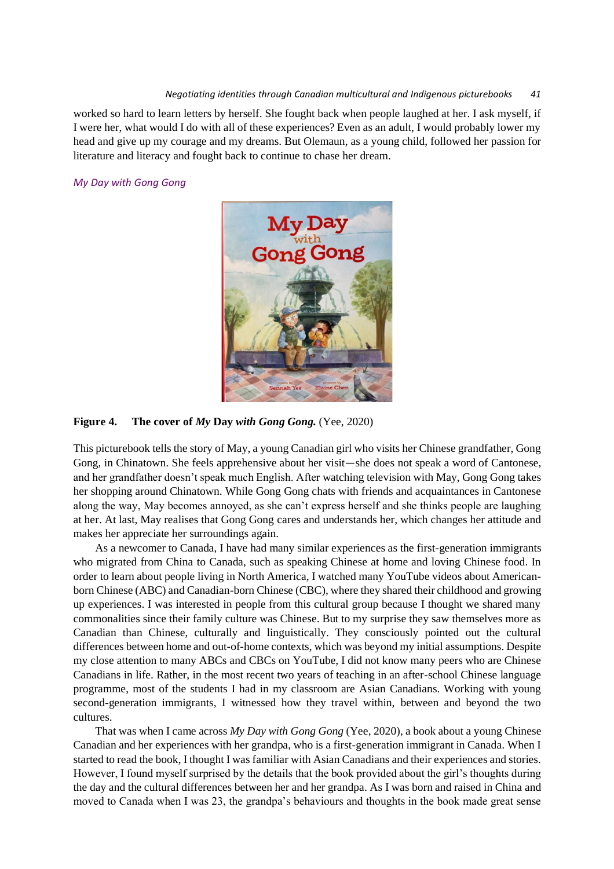#### *Negotiating identities through Canadian multicultural and Indigenous picturebooks 41*

worked so hard to learn letters by herself. She fought back when people laughed at her. I ask myself, if I were her, what would I do with all of these experiences? Even as an adult, I would probably lower my head and give up my courage and my dreams. But Olemaun, as a young child, followed her passion for literature and literacy and fought back to continue to chase her dream.

#### *My Day with Gong Gong*



**Figure 4. The cover of** *My* **Day** *with Gong Gong.* (Yee, 2020)

This picturebook tells the story of May, a young Canadian girl who visits her Chinese grandfather, Gong Gong, in Chinatown. She feels apprehensive about her visit—she does not speak a word of Cantonese, and her grandfather doesn't speak much English. After watching television with May, Gong Gong takes her shopping around Chinatown. While Gong Gong chats with friends and acquaintances in Cantonese along the way, May becomes annoyed, as she can't express herself and she thinks people are laughing at her. At last, May realises that Gong Gong cares and understands her, which changes her attitude and makes her appreciate her surroundings again.

As a newcomer to Canada, I have had many similar experiences as the first-generation immigrants who migrated from China to Canada, such as speaking Chinese at home and loving Chinese food. In order to learn about people living in North America, I watched many YouTube videos about Americanborn Chinese (ABC) and Canadian-born Chinese (CBC), where they shared their childhood and growing up experiences. I was interested in people from this cultural group because I thought we shared many commonalities since their family culture was Chinese. But to my surprise they saw themselves more as Canadian than Chinese, culturally and linguistically. They consciously pointed out the cultural differences between home and out-of-home contexts, which was beyond my initial assumptions. Despite my close attention to many ABCs and CBCs on YouTube, I did not know many peers who are Chinese Canadians in life. Rather, in the most recent two years of teaching in an after-school Chinese language programme, most of the students I had in my classroom are Asian Canadians. Working with young second-generation immigrants, I witnessed how they travel within, between and beyond the two cultures.

That was when I came across *My Day with Gong Gong* (Yee, 2020), a book about a young Chinese Canadian and her experiences with her grandpa, who is a first-generation immigrant in Canada. When I started to read the book, I thought I was familiar with Asian Canadians and their experiences and stories. However, I found myself surprised by the details that the book provided about the girl's thoughts during the day and the cultural differences between her and her grandpa. As I was born and raised in China and moved to Canada when I was 23, the grandpa's behaviours and thoughts in the book made great sense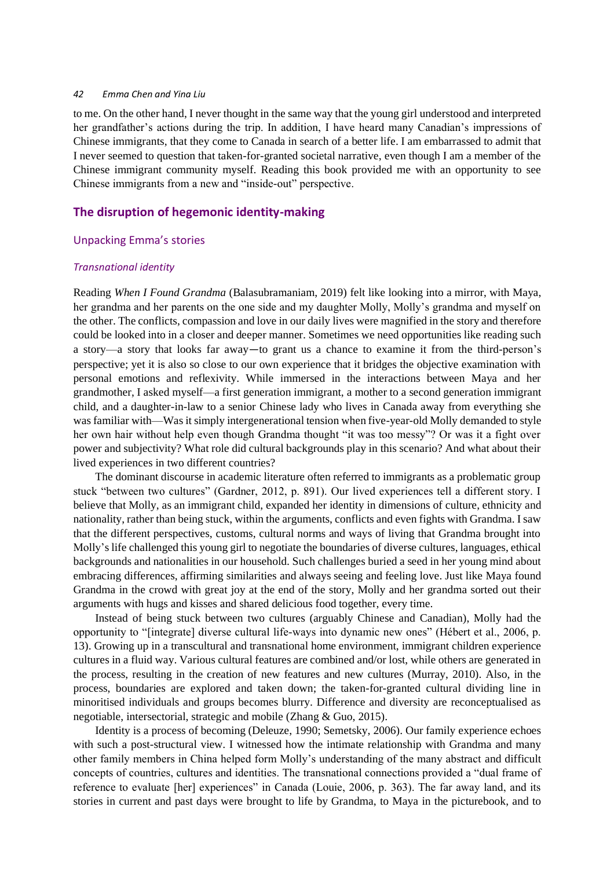to me. On the other hand, I never thought in the same way that the young girl understood and interpreted her grandfather's actions during the trip. In addition, I have heard many Canadian's impressions of Chinese immigrants, that they come to Canada in search of a better life. I am embarrassed to admit that I never seemed to question that taken-for-granted societal narrative, even though I am a member of the Chinese immigrant community myself. Reading this book provided me with an opportunity to see Chinese immigrants from a new and "inside-out" perspective.

## **The disruption of hegemonic identity-making**

#### Unpacking Emma's stories

#### *Transnational identity*

Reading *When I Found Grandma* (Balasubramaniam, 2019) felt like looking into a mirror, with Maya, her grandma and her parents on the one side and my daughter Molly, Molly's grandma and myself on the other. The conflicts, compassion and love in our daily lives were magnified in the story and therefore could be looked into in a closer and deeper manner. Sometimes we need opportunities like reading such a story—a story that looks far away—to grant us a chance to examine it from the third-person's perspective; yet it is also so close to our own experience that it bridges the objective examination with personal emotions and reflexivity. While immersed in the interactions between Maya and her grandmother, I asked myself—a first generation immigrant, a mother to a second generation immigrant child, and a daughter-in-law to a senior Chinese lady who lives in Canada away from everything she was familiar with—Was it simply intergenerational tension when five-year-old Molly demanded to style her own hair without help even though Grandma thought "it was too messy"? Or was it a fight over power and subjectivity? What role did cultural backgrounds play in this scenario? And what about their lived experiences in two different countries?

The dominant discourse in academic literature often referred to immigrants as a problematic group stuck "between two cultures" (Gardner, 2012, p. 891). Our lived experiences tell a different story. I believe that Molly, as an immigrant child, expanded her identity in dimensions of culture, ethnicity and nationality, rather than being stuck, within the arguments, conflicts and even fights with Grandma. I saw that the different perspectives, customs, cultural norms and ways of living that Grandma brought into Molly's life challenged this young girl to negotiate the boundaries of diverse cultures, languages, ethical backgrounds and nationalities in our household. Such challenges buried a seed in her young mind about embracing differences, affirming similarities and always seeing and feeling love. Just like Maya found Grandma in the crowd with great joy at the end of the story, Molly and her grandma sorted out their arguments with hugs and kisses and shared delicious food together, every time.

Instead of being stuck between two cultures (arguably Chinese and Canadian), Molly had the opportunity to "[integrate] diverse cultural life-ways into dynamic new ones" (Hébert et al., 2006, p. 13). Growing up in a transcultural and transnational home environment, immigrant children experience cultures in a fluid way. Various cultural features are combined and/or lost, while others are generated in the process, resulting in the creation of new features and new cultures (Murray, 2010). Also, in the process, boundaries are explored and taken down; the taken-for-granted cultural dividing line in minoritised individuals and groups becomes blurry. Difference and diversity are reconceptualised as negotiable, intersectorial, strategic and mobile (Zhang & Guo, 2015).

Identity is a process of becoming (Deleuze, 1990; Semetsky, 2006). Our family experience echoes with such a post-structural view. I witnessed how the intimate relationship with Grandma and many other family members in China helped form Molly's understanding of the many abstract and difficult concepts of countries, cultures and identities. The transnational connections provided a "dual frame of reference to evaluate [her] experiences" in Canada (Louie, 2006, p. 363). The far away land, and its stories in current and past days were brought to life by Grandma, to Maya in the picturebook, and to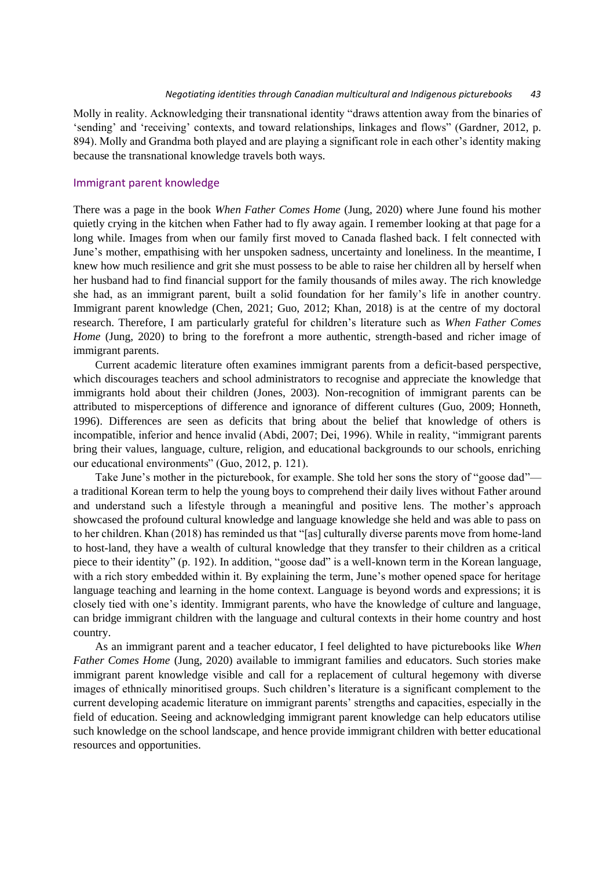Molly in reality. Acknowledging their transnational identity "draws attention away from the binaries of 'sending' and 'receiving' contexts, and toward relationships, linkages and flows" (Gardner, 2012, p. 894). Molly and Grandma both played and are playing a significant role in each other's identity making because the transnational knowledge travels both ways.

#### Immigrant parent knowledge

There was a page in the book *When Father Comes Home* (Jung, 2020) where June found his mother quietly crying in the kitchen when Father had to fly away again. I remember looking at that page for a long while. Images from when our family first moved to Canada flashed back. I felt connected with June's mother, empathising with her unspoken sadness, uncertainty and loneliness. In the meantime, I knew how much resilience and grit she must possess to be able to raise her children all by herself when her husband had to find financial support for the family thousands of miles away. The rich knowledge she had, as an immigrant parent, built a solid foundation for her family's life in another country. Immigrant parent knowledge (Chen, 2021; Guo, 2012; Khan, 2018) is at the centre of my doctoral research. Therefore, I am particularly grateful for children's literature such as *When Father Comes Home* (Jung, 2020) to bring to the forefront a more authentic, strength-based and richer image of immigrant parents.

Current academic literature often examines immigrant parents from a deficit-based perspective, which discourages teachers and school administrators to recognise and appreciate the knowledge that immigrants hold about their children (Jones, 2003). Non-recognition of immigrant parents can be attributed to misperceptions of difference and ignorance of different cultures (Guo, 2009; Honneth, 1996). Differences are seen as deficits that bring about the belief that knowledge of others is incompatible, inferior and hence invalid (Abdi, 2007; Dei, 1996). While in reality, "immigrant parents bring their values, language, culture, religion, and educational backgrounds to our schools, enriching our educational environments" (Guo, 2012, p. 121).

Take June's mother in the picturebook, for example. She told her sons the story of "goose dad" a traditional Korean term to help the young boys to comprehend their daily lives without Father around and understand such a lifestyle through a meaningful and positive lens. The mother's approach showcased the profound cultural knowledge and language knowledge she held and was able to pass on to her children. Khan (2018) has reminded us that "[as] culturally diverse parents move from home-land to host-land, they have a wealth of cultural knowledge that they transfer to their children as a critical piece to their identity" (p. 192). In addition, "goose dad" is a well-known term in the Korean language, with a rich story embedded within it. By explaining the term, June's mother opened space for heritage language teaching and learning in the home context. Language is beyond words and expressions; it is closely tied with one's identity. Immigrant parents, who have the knowledge of culture and language, can bridge immigrant children with the language and cultural contexts in their home country and host country.

As an immigrant parent and a teacher educator, I feel delighted to have picturebooks like *When Father Comes Home* (Jung, 2020) available to immigrant families and educators. Such stories make immigrant parent knowledge visible and call for a replacement of cultural hegemony with diverse images of ethnically minoritised groups. Such children's literature is a significant complement to the current developing academic literature on immigrant parents' strengths and capacities, especially in the field of education. Seeing and acknowledging immigrant parent knowledge can help educators utilise such knowledge on the school landscape, and hence provide immigrant children with better educational resources and opportunities.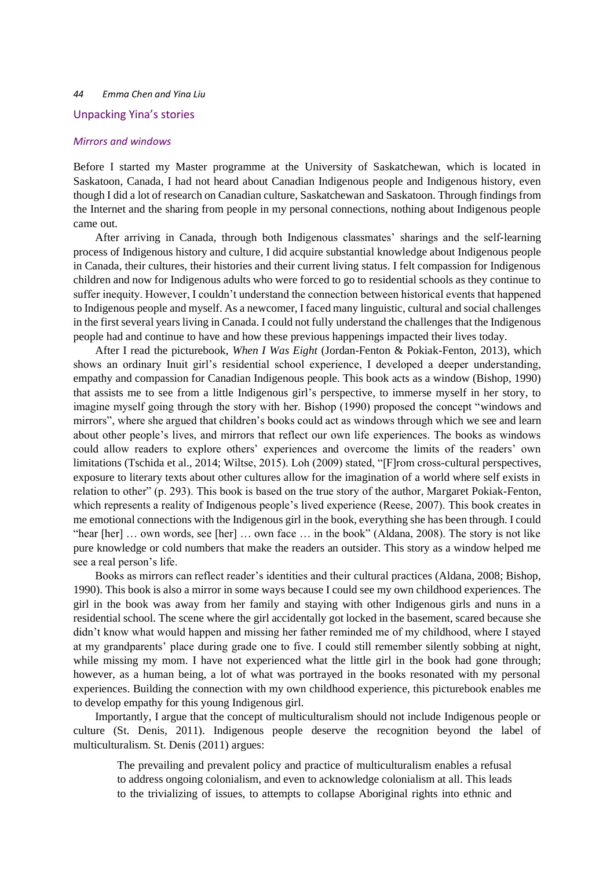#### Unpacking Yina's stories

### *Mirrors and windows*

Before I started my Master programme at the University of Saskatchewan, which is located in Saskatoon, Canada, I had not heard about Canadian Indigenous people and Indigenous history, even though I did a lot of research on Canadian culture, Saskatchewan and Saskatoon. Through findings from the Internet and the sharing from people in my personal connections, nothing about Indigenous people came out.

After arriving in Canada, through both Indigenous classmates' sharings and the self-learning process of Indigenous history and culture, I did acquire substantial knowledge about Indigenous people in Canada, their cultures, their histories and their current living status. I felt compassion for Indigenous children and now for Indigenous adults who were forced to go to residential schools as they continue to suffer inequity. However, I couldn't understand the connection between historical events that happened to Indigenous people and myself. As a newcomer, I faced many linguistic, cultural and social challenges in the first several years living in Canada. I could not fully understand the challenges that the Indigenous people had and continue to have and how these previous happenings impacted their lives today.

After I read the picturebook, *When I Was Eight* (Jordan-Fenton & Pokiak-Fenton, 2013), which shows an ordinary Inuit girl's residential school experience, I developed a deeper understanding, empathy and compassion for Canadian Indigenous people. This book acts as a window (Bishop, 1990) that assists me to see from a little Indigenous girl's perspective, to immerse myself in her story, to imagine myself going through the story with her. Bishop (1990) proposed the concept "windows and mirrors", where she argued that children's books could act as windows through which we see and learn about other people's lives, and mirrors that reflect our own life experiences. The books as windows could allow readers to explore others' experiences and overcome the limits of the readers' own limitations (Tschida et al., 2014; Wiltse, 2015). Loh (2009) stated, "[F]rom cross-cultural perspectives, exposure to literary texts about other cultures allow for the imagination of a world where self exists in relation to other" (p. 293). This book is based on the true story of the author, Margaret Pokiak-Fenton, which represents a reality of Indigenous people's lived experience (Reese, 2007). This book creates in me emotional connections with the Indigenous girl in the book, everything she has been through. I could "hear [her] … own words, see [her] … own face … in the book" (Aldana, 2008). The story is not like pure knowledge or cold numbers that make the readers an outsider. This story as a window helped me see a real person's life.

Books as mirrors can reflect reader's identities and their cultural practices (Aldana, 2008; Bishop, 1990). This book is also a mirror in some ways because I could see my own childhood experiences. The girl in the book was away from her family and staying with other Indigenous girls and nuns in a residential school. The scene where the girl accidentally got locked in the basement, scared because she didn't know what would happen and missing her father reminded me of my childhood, where I stayed at my grandparents' place during grade one to five. I could still remember silently sobbing at night, while missing my mom. I have not experienced what the little girl in the book had gone through; however, as a human being, a lot of what was portrayed in the books resonated with my personal experiences. Building the connection with my own childhood experience, this picturebook enables me to develop empathy for this young Indigenous girl.

Importantly, I argue that the concept of multiculturalism should not include Indigenous people or culture (St. Denis, 2011). Indigenous people deserve the recognition beyond the label of multiculturalism. St. Denis (2011) argues:

The prevailing and prevalent policy and practice of multiculturalism enables a refusal to address ongoing colonialism, and even to acknowledge colonialism at all. This leads to the trivializing of issues, to attempts to collapse Aboriginal rights into ethnic and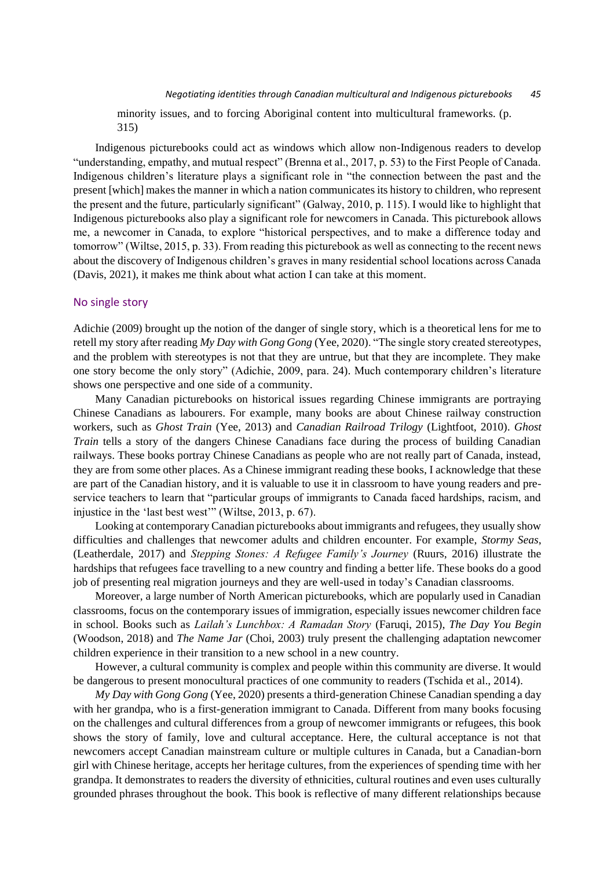minority issues, and to forcing Aboriginal content into multicultural frameworks. (p. 315)

Indigenous picturebooks could act as windows which allow non-Indigenous readers to develop "understanding, empathy, and mutual respect" (Brenna et al., 2017, p. 53) to the First People of Canada. Indigenous children's literature plays a significant role in "the connection between the past and the present [which] makes the manner in which a nation communicates its history to children, who represent the present and the future, particularly significant" (Galway, 2010, p. 115). I would like to highlight that Indigenous picturebooks also play a significant role for newcomers in Canada. This picturebook allows me, a newcomer in Canada, to explore "historical perspectives, and to make a difference today and tomorrow" (Wiltse, 2015, p. 33). From reading this picturebook as well as connecting to the recent news about the discovery of Indigenous children's graves in many residential school locations across Canada (Davis, 2021), it makes me think about what action I can take at this moment.

### No single story

Adichie (2009) brought up the notion of the danger of single story, which is a theoretical lens for me to retell my story after reading *My Day with Gong Gong* (Yee, 2020). "The single story created stereotypes, and the problem with stereotypes is not that they are untrue, but that they are incomplete. They make one story become the only story" (Adichie, 2009, para. 24). Much contemporary children's literature shows one perspective and one side of a community.

Many Canadian picturebooks on historical issues regarding Chinese immigrants are portraying Chinese Canadians as labourers. For example, many books are about Chinese railway construction workers, such as *Ghost Train* (Yee, 2013) and *Canadian Railroad Trilogy* (Lightfoot, 2010). *Ghost Train* tells a story of the dangers Chinese Canadians face during the process of building Canadian railways. These books portray Chinese Canadians as people who are not really part of Canada, instead, they are from some other places. As a Chinese immigrant reading these books, I acknowledge that these are part of the Canadian history, and it is valuable to use it in classroom to have young readers and preservice teachers to learn that "particular groups of immigrants to Canada faced hardships, racism, and injustice in the 'last best west'" (Wiltse, 2013, p. 67).

Looking at contemporary Canadian picturebooks about immigrants and refugees, they usually show difficulties and challenges that newcomer adults and children encounter. For example, *Stormy Seas*, (Leatherdale, 2017) and *Stepping Stones: A Refugee Family's Journey* (Ruurs, 2016) illustrate the hardships that refugees face travelling to a new country and finding a better life. These books do a good job of presenting real migration journeys and they are well-used in today's Canadian classrooms.

Moreover, a large number of North American picturebooks, which are popularly used in Canadian classrooms, focus on the contemporary issues of immigration, especially issues newcomer children face in school. Books such as *Lailah's Lunchbox: A Ramadan Story* (Faruqi, 2015), *The Day You Begin* (Woodson, 2018) and *The Name Jar* (Choi, 2003) truly present the challenging adaptation newcomer children experience in their transition to a new school in a new country.

However, a cultural community is complex and people within this community are diverse. It would be dangerous to present monocultural practices of one community to readers (Tschida et al., 2014).

*My Day with Gong Gong* (Yee, 2020) presents a third-generation Chinese Canadian spending a day with her grandpa, who is a first-generation immigrant to Canada. Different from many books focusing on the challenges and cultural differences from a group of newcomer immigrants or refugees, this book shows the story of family, love and cultural acceptance. Here, the cultural acceptance is not that newcomers accept Canadian mainstream culture or multiple cultures in Canada, but a Canadian-born girl with Chinese heritage, accepts her heritage cultures, from the experiences of spending time with her grandpa. It demonstrates to readers the diversity of ethnicities, cultural routines and even uses culturally grounded phrases throughout the book. This book is reflective of many different relationships because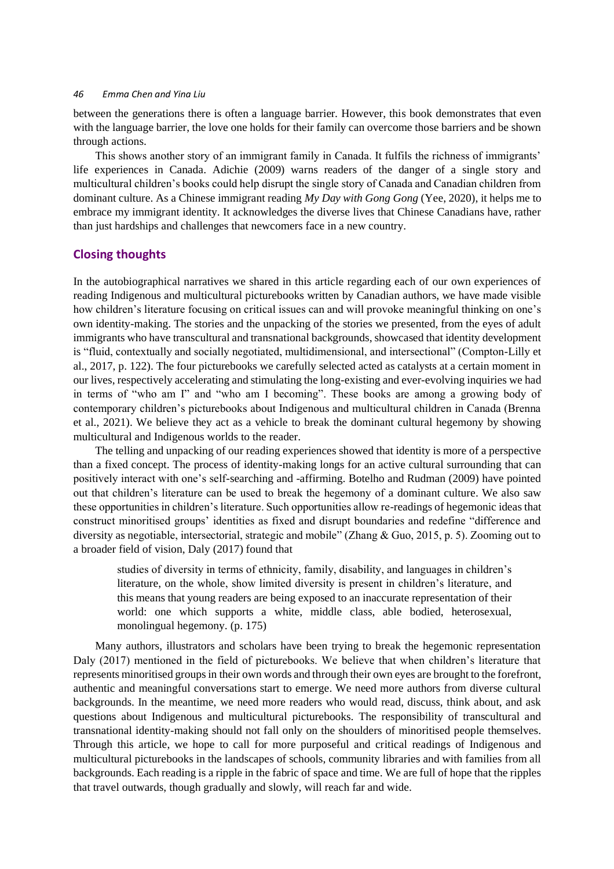between the generations there is often a language barrier. However, this book demonstrates that even with the language barrier, the love one holds for their family can overcome those barriers and be shown through actions.

This shows another story of an immigrant family in Canada. It fulfils the richness of immigrants' life experiences in Canada. Adichie (2009) warns readers of the danger of a single story and multicultural children's books could help disrupt the single story of Canada and Canadian children from dominant culture. As a Chinese immigrant reading *My Day with Gong Gong* (Yee, 2020), it helps me to embrace my immigrant identity. It acknowledges the diverse lives that Chinese Canadians have, rather than just hardships and challenges that newcomers face in a new country.

# **Closing thoughts**

In the autobiographical narratives we shared in this article regarding each of our own experiences of reading Indigenous and multicultural picturebooks written by Canadian authors, we have made visible how children's literature focusing on critical issues can and will provoke meaningful thinking on one's own identity-making. The stories and the unpacking of the stories we presented, from the eyes of adult immigrants who have transcultural and transnational backgrounds, showcased that identity development is "fluid, contextually and socially negotiated, multidimensional, and intersectional" (Compton-Lilly et al., 2017, p. 122). The four picturebooks we carefully selected acted as catalysts at a certain moment in our lives, respectively accelerating and stimulating the long-existing and ever-evolving inquiries we had in terms of "who am I" and "who am I becoming". These books are among a growing body of contemporary children's picturebooks about Indigenous and multicultural children in Canada (Brenna et al., 2021). We believe they act as a vehicle to break the dominant cultural hegemony by showing multicultural and Indigenous worlds to the reader.

The telling and unpacking of our reading experiences showed that identity is more of a perspective than a fixed concept. The process of identity-making longs for an active cultural surrounding that can positively interact with one's self-searching and -affirming. Botelho and Rudman (2009) have pointed out that children's literature can be used to break the hegemony of a dominant culture. We also saw these opportunities in children's literature. Such opportunities allow re-readings of hegemonic ideas that construct minoritised groups' identities as fixed and disrupt boundaries and redefine "difference and diversity as negotiable, intersectorial, strategic and mobile" (Zhang & Guo, 2015, p. 5). Zooming out to a broader field of vision, Daly (2017) found that

studies of diversity in terms of ethnicity, family, disability, and languages in children's literature, on the whole, show limited diversity is present in children's literature, and this means that young readers are being exposed to an inaccurate representation of their world: one which supports a white, middle class, able bodied, heterosexual, monolingual hegemony. (p. 175)

Many authors, illustrators and scholars have been trying to break the hegemonic representation Daly (2017) mentioned in the field of picturebooks. We believe that when children's literature that represents minoritised groups in their own words and through their own eyes are brought to the forefront, authentic and meaningful conversations start to emerge. We need more authors from diverse cultural backgrounds. In the meantime, we need more readers who would read, discuss, think about, and ask questions about Indigenous and multicultural picturebooks. The responsibility of transcultural and transnational identity-making should not fall only on the shoulders of minoritised people themselves. Through this article, we hope to call for more purposeful and critical readings of Indigenous and multicultural picturebooks in the landscapes of schools, community libraries and with families from all backgrounds. Each reading is a ripple in the fabric of space and time. We are full of hope that the ripples that travel outwards, though gradually and slowly, will reach far and wide.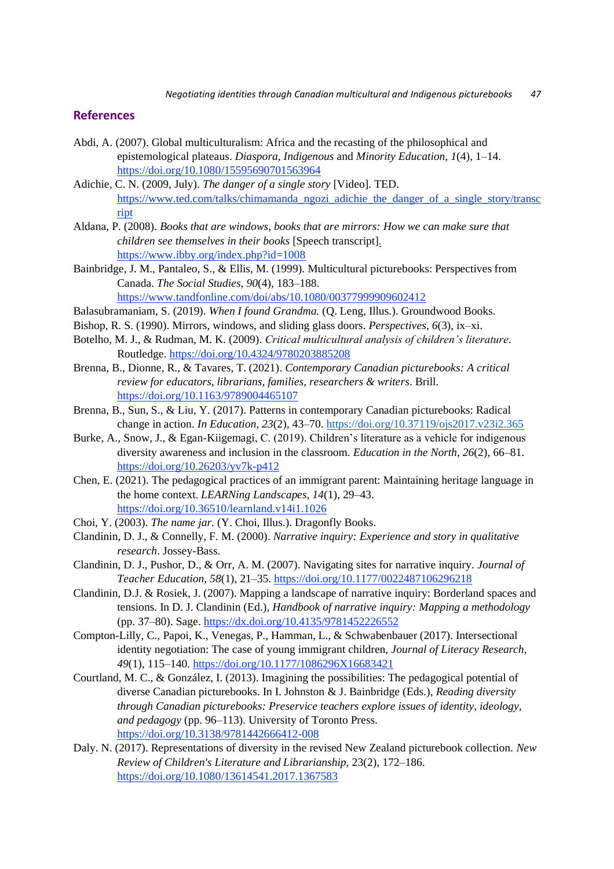## **References**

- Abdi, A. (2007). Global multiculturalism: Africa and the recasting of the philosophical and epistemological plateaus. *Diaspora, Indigenous* and *Minority Education, 1*(4), 1–14. <https://doi.org/10.1080/15595690701563964>
- Adichie, C. N. (2009, July). *The danger of a single story* [Video]. TE[D.](https://www.ted.com/talks/chimamanda_ngozi_adichie_the_danger_of_a_single_story/transcript) [https://www.ted.com/talks/chimamanda\\_ngozi\\_adichie\\_the\\_danger\\_of\\_a\\_single\\_story/transc](https://www.ted.com/talks/chimamanda_ngozi_adichie_the_danger_of_a_single_story/transcript) [ript](https://www.ted.com/talks/chimamanda_ngozi_adichie_the_danger_of_a_single_story/transcript)
- Aldana, P. (2008). *Books that are windows, books that are mirrors: How we can make sure that children see themselves in their books* [Speech transcript[\].](https://www.ibby.org/index.php?id=1008)  <https://www.ibby.org/index.php?id=1008>
- Bainbridge, J. M., Pantaleo, S., & Ellis, M. (1999). Multicultural picturebooks: Perspectives from Canada. *The Social Studies*, *90*(4), 183–188. <https://www.tandfonline.com/doi/abs/10.1080/00377999909602412>
- Balasubramaniam, S. (2019). *When I found Grandma.* (Q. Leng, Illus.). Groundwood Books.
- Bishop, R. S. (1990). Mirrors, windows, and sliding glass doors. *Perspectives*, *6*(3), ix–xi.
- Botelho, M. J., & Rudman, M. K. (2009). *Critical multicultural analysis of children's literature*. Routledge.<https://doi.org/10.4324/9780203885208>
- Brenna, B., Dionne, R., & Tavares, T. (2021). *Contemporary Canadian picturebooks: A critical review for educators, librarians, families, researchers & writers*. Brill. <https://doi.org/10.1163/9789004465107>
- Brenna, B., Sun, S., & Liu, Y. (2017). Patterns in contemporary Canadian picturebooks: Radical change in action. *In Education*, *23*(2), 43–70.<https://doi.org/10.37119/ojs2017.v23i2.365>
- Burke, A., Snow, J., & Egan-Kiigemagi, C. (2019). Children's literature as a vehicle for indigenous diversity awareness and inclusion in the classroom. *Education in the North*, *26*(2), 66–81. <https://doi.org/10.26203/yv7k-p412>
- Chen, E. (2021). The pedagogical practices of an immigrant parent: Maintaining heritage language in the home context. *LEARNing Landscapes, 14*(1), 29–43. <https://doi.org/10.36510/learnland.v14i1.1026>
- Choi, Y. (2003). *The name jar.* (Y. Choi, Illus.). Dragonfly Books.
- Clandinin, D. J., & Connelly, F. M. (2000). *Narrative inquiry: Experience and story in qualitative research*. Jossey-Bass.
- Clandinin, D. J., Pushor, D., & Orr, A. M. (2007). Navigating sites for narrative inquiry. *Journal of Teacher Education, 58*(1), 21–35.<https://doi.org/10.1177/0022487106296218>
- Clandinin, D.J. & Rosiek, J. (2007). Mapping a landscape of narrative inquiry: Borderland spaces and tensions. In D. J. Clandinin (Ed.), *Handbook of narrative inquiry: Mapping a methodology*  (pp. 37–80). Sage.<https://dx.doi.org/10.4135/9781452226552>
- Compton-Lilly, C., Papoi, K., Venegas, P., Hamman, L., & Schwabenbauer (2017). Intersectional identity negotiation: The case of young immigrant children, *Journal of Literacy Research*, *49*(1), 115–140.<https://doi.org/10.1177/1086296X16683421>
- Courtland, M. C., & González, I. (2013). Imagining the possibilities: The pedagogical potential of diverse Canadian picturebooks. In I. Johnston & J. Bainbridge (Eds.), *Reading diversity through Canadian picturebooks: Preservice teachers explore issues of identity, ideology, and pedagogy* (pp. 96–113). University of Toronto Press. <https://doi.org/10.3138/9781442666412-008>
- Daly. N. (2017). Representations of diversity in the revised New Zealand picturebook collection. *New Review of Children's Literature and Librarianship,* 23(2), 172–186. <https://doi.org/10.1080/13614541.2017.1367583>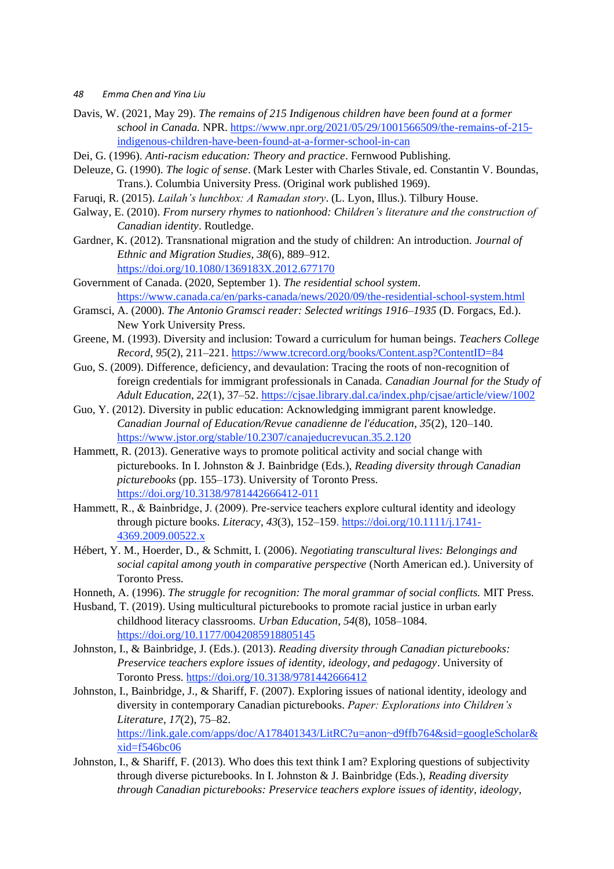- Davis, W. (2021, May 29). *The remains of 215 Indigenous children have been found at a former school in Canada.* NPR. [https://www.npr.org/2021/05/29/1001566509/the-remains-of-215](https://www.npr.org/2021/05/29/1001566509/the-remains-of-215-indigenous-children-have-been-found-at-a-former-school-in-can) [indigenous-children-have-been-found-at-a-former-school-in-can](https://www.npr.org/2021/05/29/1001566509/the-remains-of-215-indigenous-children-have-been-found-at-a-former-school-in-can)
- Dei, G. (1996). *Anti-racism education: Theory and practice*. Fernwood Publishing.
- Deleuze, G. (1990). *The logic of sense*. (Mark Lester with Charles Stivale, ed. Constantin V. Boundas, Trans.). Columbia University Press. (Original work published 1969).
- Faruqi, R. (2015). *Lailah's lunchbox: A Ramadan story*. (L. Lyon, Illus.). Tilbury House.
- Galway, E. (2010). *From nursery rhymes to nationhood: Children's literature and the construction of Canadian identity*. Routledge.
- Gardner, K. (2012). Transnational migration and the study of children: An introduction. *Journal of Ethnic and Migration Studies*, *38*(6), 889–912. <https://doi.org/10.1080/1369183X.2012.677170>
- Government of Canada. (2020, September 1). *The residential school system*. <https://www.canada.ca/en/parks-canada/news/2020/09/the-residential-school-system.html>
- Gramsci, A. (2000). *The Antonio Gramsci reader: Selected writings 1916–1935* (D. Forgacs, Ed.). New York University Press.
- Greene, M. (1993). Diversity and inclusion: Toward a curriculum for human beings. *Teachers College Record*, *95*(2), 211–221.<https://www.tcrecord.org/books/Content.asp?ContentID=84>
- Guo, S. (2009). Difference, deficiency, and devaulation: Tracing the roots of non-recognition of foreign credentials for immigrant professionals in Canada. *Canadian Journal for the Study of Adult Education*, *22*(1), 37–52.<https://cjsae.library.dal.ca/index.php/cjsae/article/view/1002>
- Guo, Y. (2012). Diversity in public education: Acknowledging immigrant parent knowledge. *Canadian Journal of Education/Revue canadienne de l'éducation*, *35*(2), 120–140. <https://www.jstor.org/stable/10.2307/canajeducrevucan.35.2.120>
- Hammett, R. (2013). Generative ways to promote political activity and social change with picturebooks. In I. Johnston & J. Bainbridge (Eds.), *Reading diversity through Canadian picturebooks* (pp. 155–173). University of Toronto Press. <https://doi.org/10.3138/9781442666412-011>
- Hammett, R., & Bainbridge, J. (2009). Pre‐service teachers explore cultural identity and ideology through picture books. *Literacy*, *43*(3), 152–159. [https://doi.org/10.1111/j.1741-](https://doi.org/10.1111/j.1741-4369.2009.00522.x) [4369.2009.00522.x](https://doi.org/10.1111/j.1741-4369.2009.00522.x)
- Hébert, Y. M., Hoerder, D., & Schmitt, I. (2006). *Negotiating transcultural lives: Belongings and social capital among youth in comparative perspective* (North American ed.). University of Toronto Press.
- Honneth, A. (1996). *The struggle for recognition: The moral grammar of social conflicts.* MIT Press.
- Husband, T. (2019). Using multicultural picturebooks to promote racial justice in urban early childhood literacy classrooms. *Urban Education*, *54*(8), 1058–1084. <https://doi.org/10.1177/0042085918805145>
- Johnston, I., & Bainbridge, J. (Eds.). (2013). *Reading diversity through Canadian picturebooks: Preservice teachers explore issues of identity, ideology, and pedagogy*. University of Toronto Press.<https://doi.org/10.3138/9781442666412>
- Johnston, I., Bainbridge, J., & Shariff, F. (2007). Exploring issues of national identity, ideology and diversity in contemporary Canadian picturebooks. *Paper: Explorations into Children's Literature*, *17*(2), 75–82. [https://link.gale.com/apps/doc/A178401343/LitRC?u=anon~d9ffb764&sid=googleScholar&](https://link.gale.com/apps/doc/A178401343/LitRC?u=anon~d9ffb764&sid=googleScholar&xid=f546bc06) [xid=f546bc06](https://link.gale.com/apps/doc/A178401343/LitRC?u=anon~d9ffb764&sid=googleScholar&xid=f546bc06)
- Johnston, I., & Shariff, F. (2013). Who does this text think I am? Exploring questions of subjectivity through diverse picturebooks. In I. Johnston & J. Bainbridge (Eds.), *Reading diversity through Canadian picturebooks: Preservice teachers explore issues of identity, ideology,*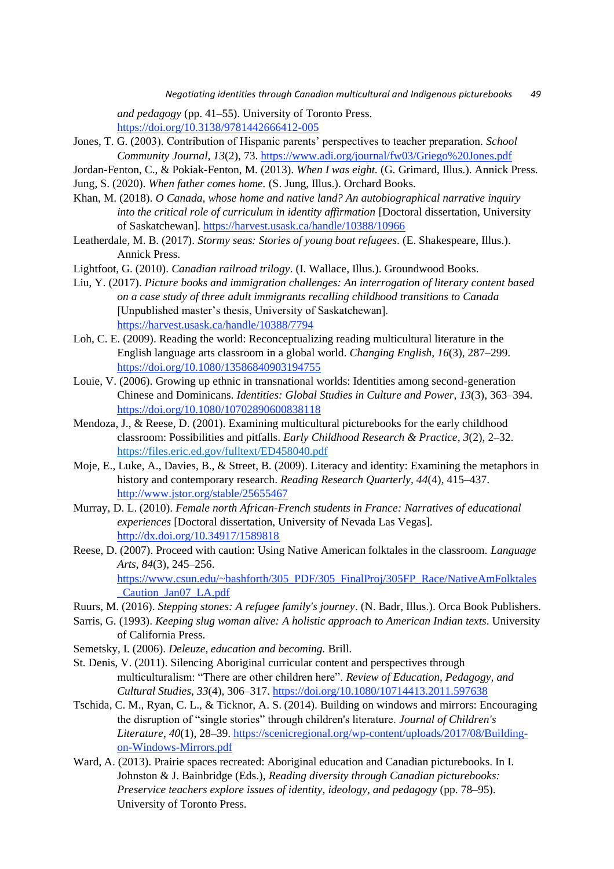*Negotiating identities through Canadian multicultural and Indigenous picturebooks 49*

*and pedagogy* (pp. 41–55). University of Toronto Press. <https://doi.org/10.3138/9781442666412-005>

- Jones, T. G. (2003). Contribution of Hispanic parents' perspectives to teacher preparation. *School Community Journal*, *13*(2), 73. <https://www.adi.org/journal/fw03/Griego%20Jones.pdf>
- Jordan-Fenton, C., & Pokiak-Fenton, M. (2013). *When I was eight.* (G. Grimard, Illus.). Annick Press.

Jung, S. (2020). *When father comes home.* (S. Jung, Illus.). Orchard Books.

- Khan, M. (2018). *O Canada, whose home and native land? An autobiographical narrative inquiry into the critical role of curriculum in identity affirmation* [Doctoral dissertation, University of Saskatchewan].<https://harvest.usask.ca/handle/10388/10966>
- Leatherdale, M. B. (2017). *Stormy seas: Stories of young boat refugees*. (E. Shakespeare, Illus.). Annick Press.
- Lightfoot, G. (2010). *Canadian railroad trilogy*. (I. Wallace, Illus.). Groundwood Books.
- Liu, Y. (2017). *Picture books and immigration challenges: An interrogation of literary content based on a case study of three adult immigrants recalling childhood transitions to Canada* [Unpublished master's thesis, University of Saskatchewan]. <https://harvest.usask.ca/handle/10388/7794>
- Loh, C. E. (2009). Reading the world: Reconceptualizing reading multicultural literature in the English language arts classroom in a global world. *Changing English*, *16*(3), 287–299. <https://doi.org/10.1080/13586840903194755>
- Louie, V. (2006). Growing up ethnic in transnational worlds: Identities among second-generation Chinese and Dominicans. *Identities: Global Studies in Culture and Power*, *13*(3), 363–394. <https://doi.org/10.1080/10702890600838118>
- Mendoza, J., & Reese, D. (2001). Examining multicultural picturebooks for the early childhood classroom: Possibilities and pitfalls. *Early Childhood Research & Practice*, *3*(2), 2–32. <https://files.eric.ed.gov/fulltext/ED458040.pdf>
- Moje, E., Luke, A., Davies, B., & Street, B. (2009). Literacy and identity: Examining the metaphors in history and contemporary research. *Reading Research Quarterly, 44*(4), 415–437. <http://www.jstor.org/stable/25655467>
- Murray, D. L. (2010). *Female north African-French students in France: Narratives of educational experiences* [Doctoral dissertation, University of Nevada Las Vegas]. <http://dx.doi.org/10.34917/1589818>
- Reese, D. (2007). Proceed with caution: Using Native American folktales in the classroom. *Language Arts*, *84*(3), 245–256. [https://www.csun.edu/~bashforth/305\\_PDF/305\\_FinalProj/305FP\\_Race/NativeAmFolktales](https://www.csun.edu/~bashforth/305_PDF/305_FinalProj/305FP_Race/NativeAmFolktales_Caution_Jan07_LA.pdf) [\\_Caution\\_Jan07\\_LA.pdf](https://www.csun.edu/~bashforth/305_PDF/305_FinalProj/305FP_Race/NativeAmFolktales_Caution_Jan07_LA.pdf)
- Ruurs, M. (2016). *Stepping stones: A refugee family's journey*. (N. Badr, Illus.). Orca Book Publishers.
- Sarris, G. (1993). *Keeping slug woman alive: A holistic approach to American Indian texts*. University of California Press.
- Semetsky, I. (2006). *Deleuze, education and becoming.* Brill.
- St. Denis, V. (2011). Silencing Aboriginal curricular content and perspectives through multiculturalism: "There are other children here". *Review of Education, Pedagogy, and Cultural Studies*, *33*(4), 306–317.<https://doi.org/10.1080/10714413.2011.597638>
- Tschida, C. M., Ryan, C. L., & Ticknor, A. S. (2014). Building on windows and mirrors: Encouraging the disruption of "single stories" through children's literature. *Journal of Children's Literature*, *40*(1), 28–39. [https://scenicregional.org/wp-content/uploads/2017/08/Building](https://scenicregional.org/wp-content/uploads/2017/08/Building-on-Windows-Mirrors.pdf)[on-Windows-Mirrors.pdf](https://scenicregional.org/wp-content/uploads/2017/08/Building-on-Windows-Mirrors.pdf)
- Ward, A. (2013). Prairie spaces recreated: Aboriginal education and Canadian picturebooks. In I. Johnston & J. Bainbridge (Eds.), *Reading diversity through Canadian picturebooks: Preservice teachers explore issues of identity, ideology, and pedagogy* (pp. 78–95). University of Toronto Press.